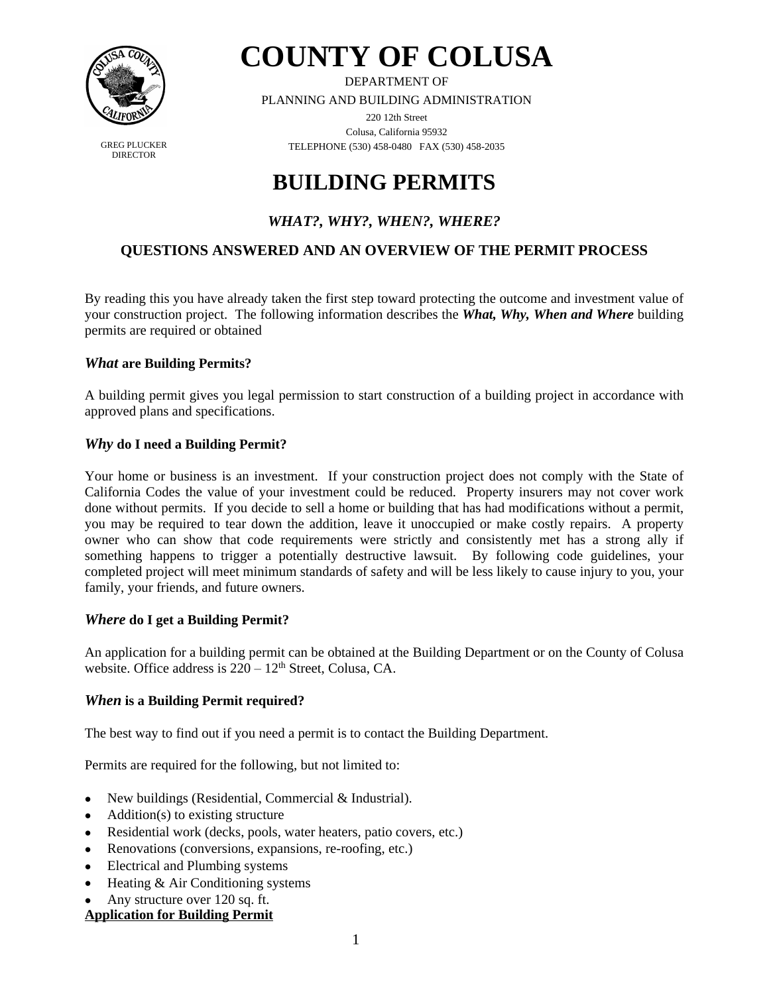

**DIRECTOR** 

**COUNTY OF COLUSA**

DEPARTMENT OF

PLANNING AND BUILDING ADMINISTRATION

220 12th Street Colusa, California 95932 GREG PLUCKER TELEPHONE (530) 458-0480 FAX (530) 458-2035

# **BUILDING PERMITS**

# *WHAT?, WHY?, WHEN?, WHERE?*

## **QUESTIONS ANSWERED AND AN OVERVIEW OF THE PERMIT PROCESS**

By reading this you have already taken the first step toward protecting the outcome and investment value of your construction project. The following information describes the *What, Why, When and Where* building permits are required or obtained

## *What* **are Building Permits?**

A building permit gives you legal permission to start construction of a building project in accordance with approved plans and specifications.

## *Why* **do I need a Building Permit?**

Your home or business is an investment. If your construction project does not comply with the State of California Codes the value of your investment could be reduced. Property insurers may not cover work done without permits. If you decide to sell a home or building that has had modifications without a permit, you may be required to tear down the addition, leave it unoccupied or make costly repairs. A property owner who can show that code requirements were strictly and consistently met has a strong ally if something happens to trigger a potentially destructive lawsuit. By following code guidelines, your completed project will meet minimum standards of safety and will be less likely to cause injury to you, your family, your friends, and future owners.

## *Where* **do I get a Building Permit?**

An application for a building permit can be obtained at the Building Department or on the County of Colusa website. Office address is  $220 - 12$ <sup>th</sup> Street, Colusa, CA.

## *When* **is a Building Permit required?**

The best way to find out if you need a permit is to contact the Building Department.

Permits are required for the following, but not limited to:

- New buildings (Residential, Commercial & Industrial).
- $\bullet$  Addition(s) to existing structure
- Residential work (decks, pools, water heaters, patio covers, etc.)
- Renovations (conversions, expansions, re-roofing, etc.)
- Electrical and Plumbing systems
- Heating & Air Conditioning systems
- Any structure over 120 sq. ft.

## **Application for Building Permit**